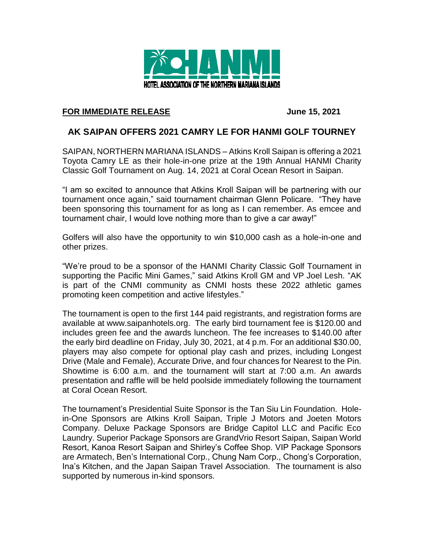

## **FOR IMMEDIATE RELEASE June 15, 2021**

## **AK SAIPAN OFFERS 2021 CAMRY LE FOR HANMI GOLF TOURNEY**

SAIPAN, NORTHERN MARIANA ISLANDS – Atkins Kroll Saipan is offering a 2021 Toyota Camry LE as their hole-in-one prize at the 19th Annual HANMI Charity Classic Golf Tournament on Aug. 14, 2021 at Coral Ocean Resort in Saipan.

"I am so excited to announce that Atkins Kroll Saipan will be partnering with our tournament once again," said tournament chairman Glenn Policare. "They have been sponsoring this tournament for as long as I can remember. As emcee and tournament chair, I would love nothing more than to give a car away!"

Golfers will also have the opportunity to win \$10,000 cash as a hole-in-one and other prizes.

"We're proud to be a sponsor of the HANMI Charity Classic Golf Tournament in supporting the Pacific Mini Games," said Atkins Kroll GM and VP Joel Lesh. "AK is part of the CNMI community as CNMI hosts these 2022 athletic games promoting keen competition and active lifestyles."

The tournament is open to the first 144 paid registrants, and registration forms are available at www.saipanhotels.org. The early bird tournament fee is \$120.00 and includes green fee and the awards luncheon. The fee increases to \$140.00 after the early bird deadline on Friday, July 30, 2021, at 4 p.m. For an additional \$30.00, players may also compete for optional play cash and prizes, including Longest Drive (Male and Female), Accurate Drive, and four chances for Nearest to the Pin. Showtime is 6:00 a.m. and the tournament will start at 7:00 a.m. An awards presentation and raffle will be held poolside immediately following the tournament at Coral Ocean Resort.

The tournament's Presidential Suite Sponsor is the Tan Siu Lin Foundation. Holein-One Sponsors are Atkins Kroll Saipan, Triple J Motors and Joeten Motors Company. Deluxe Package Sponsors are Bridge Capitol LLC and Pacific Eco Laundry. Superior Package Sponsors are GrandVrio Resort Saipan, Saipan World Resort, Kanoa Resort Saipan and Shirley's Coffee Shop. VIP Package Sponsors are Armatech, Ben's International Corp., Chung Nam Corp., Chong's Corporation, Ina's Kitchen, and the Japan Saipan Travel Association. The tournament is also supported by numerous in-kind sponsors.